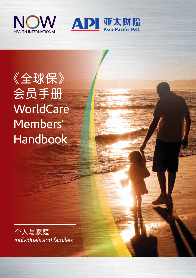



**《全球保》 會員手冊 WorldCare**  Members' Handbook

**個人與家庭** *individuals and families*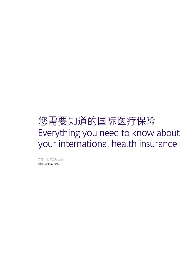# Everything you need to know about your international health insurance 您需要知道的国际医疗保险

二零一七年五月生效 Effective May 2017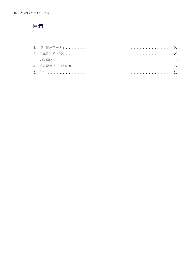# 目录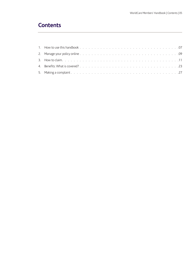# **Contents**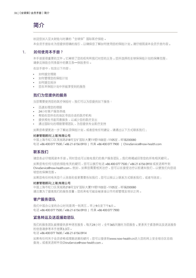# **簡介**

欢迎您加入亚太财险与时康的"全球保"国际医疗保险。

本会员手册旨在为您提供明确的指引,以确保您了解如何使用您的保险计划。请仔细阅读本会员手册内容。

# 1**. 如何使用本手冊?**

本手册是很重要的文件。它阐明了您的权利和我们对您的义务。您所选择的全球保保险计划的保障范围, 請參見保險合同條款中的第五條–保險責任。

在這手冊中,包含以下內容:

- 如何提交理賠
- 如何管理您的保險計劃
- 如何提交投訴
- 您在本保險計劃中所能享受到的服務

# **我們為您提供的服務**

当您需要使用您的医疗保险时,我们可以为您提供如下服务:

- 迅速处理您的理赔
- 24小時客戶服務熱線
- 帮助在您所在的地区寻找合适的医疗机构
- 提供预先书面同意服务,以减少您的医疗支出
- 通过国际化的理赔管理团队,为您提供专业医疗支持

如果您希望更进一步了解此项保险计划,或者您有任何建议,请通过以下方式联系我们:

### **時康管理顧問(上海)有限公司**

中国上海市虹口区吴淞路218号宝矿国际大厦11楼1103室-1105室,邮编200080 電話 +86 400 077 7500 /+86 21 6156 0910 | 傳真 +86 400 077 7900 | ChinaService@now-health.com

# **聯繫我們**

请您务必仔细阅读本手册。同时您也可以致电我们的客户服务团队,我们将竭诚回答您的所有相关疑问。

如果您有任何与您的保险有关的疑问,您可以拨打电话 +86 400 077 7500 / +86 21 6156 0910 或发送邮件到 ChinaService@now-health.com。例如,如果您需要相关治疗,您可以在接受治疗以前通知我们,以便我们向您说 明您的保障範圍。

如果您有任何有关您个人信息的变更需要告知我们,您可以按以上联系方式联系我们,或者写信至:

#### **時康管理顧問(上海)有限公司**

中国上海市虹口区吴淞路218号宝矿国际大厦11楼1103室-1105室,邮编200080 请注意为了提高我们的服务质量,您的来电可能会被录音以作内部管理及培训之用。

# **客戶服務團隊**

我们中国办公室的办公时间是周一到周五,早上9点至下午6点。 電話 +86 400 077 7500 /+86 21 6156 0910 | 傳真 +86 400 077 7900

# **緊急轉運及送返援助團隊**

我们的服务团队能够提供多种语言服务,每天24小时,全年365天随时为您服务。更多关于紧急转运及送返服务 的信息請參考本手冊第3.3項。

電話 +86 400 077 7600 /+86 21 6156 0914

如果有任何關於會員資格或理賠進展的疑問,您可以登錄到www.now-health.cn進入您的網上安全組合區自助 查詢,或者發送郵件至ChinaService@now-health.com。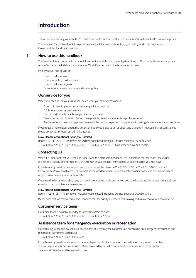# **Introduction**

Thank you for choosing Asia-Pacific P&C and Now Health International to provide your international health insurance policy.

 The objective for this handbook is to provide you clear information about how your policy works and how to use it. Please read this handbook carefully.

# **1. How to use this handbook**

This handbook is an important document. It sets out your rights and our obligations to you. Along with the insurance policy, Article 5 - Insurance Liability, it explains your WorldCare policy and the terms of your cover.

Inside you will find details of:

- How to make a claim
- How your policy is administered
- How to make a complaint
- Other services available to you under your policy

# **Our service for you**

When you need to use your insurance, here's what you can expect from us:

- A commitment to process your claim as quickly as possible
- A 24-hour customer service team
- Help to find suitable healthcare providers in your area
- Pre-authorisation of certain claims where possible, to reduce your out-of-pocket expenses
- An international claims management team with the medical expertise to support you in making decisions about your healthcare

If you require more details about this policy, or if you would like to tell us about any changes in your personal circumstances, please contact us through our administrator at:

#### **Now Health International (Shanghai) Limited**

Room 1103–1105, 11/F, BM Tower, No. 218 Wusong Road, Hongkou District, Shanghai 200080, China T +86 400 077 7500 / +86 21 6156 0910 | F +86 400 077 7900 | ChinaService@now-health.com

# **Contacting Us**

 While it is important that you read and understand this members' handbook, we understand that there are times when it is easier to call us for information. Our customer service team is ready to help with any queries you may have.

 If you have any questions about your policy, you can contact us on +86 400 077 7500 / +86 21 6156 0910 or email ChinaService@now-health.com. For example, if you need treatment, you can contact us first so we can explain the extent of your cover before you incur any costs.

 If you need to let us know about any changes in your personal circumstances, you can do so using the contact details above, or write to us through our administrator at:

#### **Now Health International (Shanghai) Limited**

Room 1103–1105, 11/F, BM Tower, No. 218 Wusong Road, Hongkou District, Shanghai 200080, China

Please note that we may record and/or monitor calls for quality assurance and training and as a record of our conversation.

### **Customer service team**

Our China team is available Monday to Friday from 9am to 6pm. T +86 400 077 7500 / +86 21 6156 0910 | F +86 400 077 7900

# **Assistance team for emergency evacuation or repatriation**

Our multilingual team is available 24 hours a day, 365 days a year. For details on how to use our emergency evacuation and repatriation service see section 3.3.

T +86 400 077 7600 / +86 21 6156 0914

If you have any questions about your membership or would like to request information on the progress of a claim, you can log in to your secure online portfolio provided by our administrator at www.now-health.cn or contact us via email at ChinaService@now-health.com.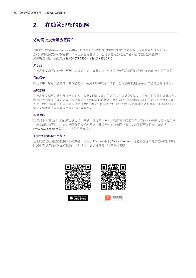# **2. 在線管理您的保險**

# **您的网上安全组合区简介**

访问我们的网站www.now-health.cn通过网上安全组合区管理您的国际医疗保险,是最简单快捷的方法。 您的所有相关文件都保存在一个网上安全组合区里,您可以使用您的用户名和密码进行登录查询。 如果需要幫助,請致電 +86 400 077 7500 /+86 21 6156 0910。

### **關於我**

在此项中,您可以查看并更新个人联系信息,登录信息,您的文档传递和您可以告诉我们如何支付您的索赔。

### **我的保單**

在此项中,您可以查看并下载保险凭证,会员手册和理赔申请表。您可以要求更换会员证并查看您的计划细节。

### **我的索賠**

在此项中,您可以找到最适合您的方式来提交理赔。在这里您可以在线提交索赔,并且实时跟踪理赔进展状态。 您可以查看所有的理赔记录,包括有关过去和现在理赔状态,就诊医院,理赔申请及赔付的金额与币种(只有 发生在海外的理赔,可以允许选择赔付币种)等。所有的信息都是实时更新,以便让您随时查看您的理赔最新 情况。您也可以从这里提交预先授权申请表。

### **其他功能**

除了以上各项功能,您也可以通过这个网站,通过网上安全组合区直接联系我们,下载各种表格以及向我们推 荐您常就诊的医院,并在时康国际医疗机构网络中寻找到您的首选医疗机构。欲了解更多信息,请访问 www.now-health.cn首頁中的常見問題選項。

### **下載我們的移動應用程序**

我们的移动应用程序提供了多项功能,适用于iPhone和小米(Mobile Internet),您能够容易在时康国际医疗机构 网络中查找您的首选医疗机构,同时您亦可透过移动应用程序提交索赔。







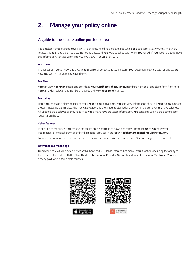# **2. Manage your policy online**

# **A guide to the secure online portfolio area**

The simplest way to manage **Your Plan** is via the secure online portfolio area which **You** can access at www.now-health.cn. To access it **You** need the unique username and password **You** were supplied with when **You** joined. If **You** need help to retrieve this information, contact **Us** on +86 400 077 7500 / +86 21 6156 0910.

#### **About me**

In this section **You** can view and update **Your** personal contact and login details, **Your** document delivery settings and tell **Us**  how **You** would lik**e Us** to pay **Your** claims.

#### **My Plan**

**You** can view **Your Plan** details and download **Your Certificate of Insurance**, members' handbook and claim form from here. **You** can order replacement membership cards and view **Your Benefit** limits.

#### **My claims**

Here **You** can make a claim online and track **Your** claims in real time. **You** can view information about all **Your** claims, past and present, including claim status, the medical provider and the amounts claimed and settled, in the currency **You** have selected. All updated are displayed as they happen so **You** always have the latest information. **You** can also submit a pre-authorisation request from here.

#### **Other features**

In addition to the above, **You** can use the secure online portfolio to download forms, introduce **Us** to **Your** preferred intermediary or medical provider and find a medical provider in the **Now Health International Provider Network.**

For more information, visit the FAQ section of the website, which **You** can access from **Our** homepage www.now-health.cn

### **Download our mobile app**

**Our** mobile app, which is available for both iPhone and MI (Mobile Internet) has many useful functions including the ability to find a medical provider with the **Now Health International Provider Network** and submit a claim for **Treatment You** have already paid for in a few simple touches.



Ann Stor



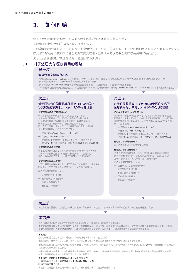您加入我们的保险计划后,可以联系我们的客户服务团队寻求相关帮助。

同時您可以撥打我們的24小時緊急援助熱線。

在時康國際的會員網站上,您的網上安全組合區有一個專門的理賠區,通過此區域你可以查看您所有的理賠記錄。 除此以外您还可以找到最适合您的方式提交理赔。登录此网站仅需要您的时康会员用户名及密码。

为了让我们能快速审核您的理赔,请遵照以下步骤:

# **3.1 對於您已支付醫療費用的理賠**

**第一步**

#### **選擇您提交理賠的方式**

您可以通过www.now-health.cn登录您的网上安全组合区提交理赔。此外,您也可以通过移动应用程序或如果您更喜欢更传统的解决方案,<br>您可以使用电子邮件,传真或邮寄方式向我们发送理赔申请表 。 您可以通過www.now-health.cn登錄您的網上安全組合區或"如何提交理賠"下載電子版理賠申請表。

如果需要帮助登录您的网上安全组合区,或者需要电子版或印刷版的理赔申请表,请致电 +86 400 077 7500/ +86 21 6156 0910向我们的客户服务人员索取。

# **第二步**

### **对于门诊和日间留院或住院治疗的每个医疗 狀況的醫療費用低於人民幣3,000元的理賠**

V.

#### **使用理賠申請表(印刷版或pdf):**

请完整填写理赔申请表的第一项和第二项,并签名。<br>然后连同您扫描的发票收据 (请在每个发票收据上签名) 以及您的身份證/護照複印件發送給我們。發票收據必須 包括疾病病情,治疗详情,以及主治医生的姓名,<br>职业资质,联系方式和盖章 。(如果发票收据没有上述信息,<br>请提供您的医疗记录和治疗费用明细 。<mark>)</mark>

- 電郵至ChinaService@now-health.com或
- 传直至+86 400 077 7900 或
- 郵寄到時康管理顧問(上海)有限公司,上海市虹口區 吴淞路218号宝矿国际大厦11楼1103至1105年室邮编200080。

#### **使用移動設備提交理賠:**

完整填写理赔申请表,上传所要求的图像(包括您扫描的发票) (请在每个发票上签名)和身份证/护照复印件,接受声明和 授权,然后点击"提交"。我们将在设置中保存您的信息 <mark>。</mark>

#### **使用網頁設備提交理賠:**

 從下拉列表中選擇被保險人,填寫表單中的所有字段,上傳所要求 的图像,接受声明和授权,然后单击"提交理赔申请表"。 您的理賠需要包括以下資料:

 $\sim$ 

- 正式的醫療費用發票
- 相關的醫療費用明細單
- 醫療病歷/檢查報告
- 身份證/護照複印件

#### **第三步**

在收齐所有必需的材料后我们会审核您的理赔,并且在收到日起五个工作日内对所有在保障范围内的符合资格理赔进行审核。

# **第四步**

您可以通過登錄您的網上安全組合區對您所有的理賠進行跟蹤查詢(只提供英語服務)。

您可以随时登录网站查询您的理赔进展情况,包括理赔状态,就诊医院,申请及赔付的金额与币种,以及所有扣除的免赔额与自付比例。所有理 赔都是实时更新以便您掌握最新情况。如果您的理赔状态发生变更,我们会第一时间发送邮件或短信通知您去登录查询。

 $\mathcal{L}$ 

#### **重要提示:**

您必须在接受治疗之日起六个月内向我们提交理赔(除非有不可抗力因素)。

如果您递交的理赔材料是复印件,请务必保存好原件。我们可能在您递交理赔的六个月之内请您重新递交原件。

如果您正在提交的或者已经提交的理赔的金额(以每位被保险人,每个医疗状况,每个保障期间为计)超过人民币3,000元,请确保让您的主治医生 完整填寫理賠單上的第三部份。

如果您不能确定每个医疗状况的理赔金额是否超过人民币3,000元,请您完整填写理赔单上的所有选项,并且也清您的主治医生完整填写相关医疗 信息,然後將所有原始材料郵寄至我公司。地址見第三步。

#### **以下情況,需同時提供被保險人的身份證/護照復印件:**

**1. 給付貨幣為人民幣,索賠金額人民幣10,000元或以上;或 2. 給付貨幣為非人民幣。**

请注意,上述提交理赔过程不适用于生育,牙科和体检、眼科、疫苗医疗保障费用。

# **第二步**

#### **对于日间留院或住院治疗的每个医疗状况的 醫療費用等於或高於人民幣3,000元的理賠**

#### **使用理賠申請表(印刷版或pdf):**

请完整填写理赔申请表的所有部分,签名并请求您的医生完成<br>相关部分。使用以下方法之一并附上所有账单和副本的诊断报告, 相關部分。使用以下方法之一併附上所有賬單和副本的診斷報告, 疾病病情和出院小結以及身份證/護照副本。請保留這些文件的 副本,以備記錄。

- 電郵至ChinaService@now-health.com或
- 傳真至+86 400 077 7900,或
- 郵寄到時康管理顧問(上海)有限公司,上海市虹口區 吴淞路218号宝矿国际大厦11楼1103-1105室 邮编200080。

#### **使用移動設備提交理賠:**

您無法使用移動應用程式提交此理賠。

#### **使用網頁設備提交理賠:**

扫描已完成的理赔表格,并附上所有账单和副本的诊断报告,<br>疾病病情和出院小结(如果您是日间留院或住院病人)以及 。<br>身份证/护照副本,然后单击"提交理赔申请表"。

 $\mathcal{L}$ 

您的理賠需要包括以下資料:

- 完整填寫並簽名的理賠申請表
- 正式的醫療費用發票
- 相關的醫療費用明細單
- 医疗病历/检查报告
- 身份證/護照複印件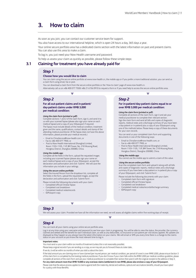As soon as you join, you can contact our customer service team for support.

You also have access to our international helpline, which is open 24 hours a day, 365 days a year.

Your online secure portfolio area has a dedicated claims section with the latest information on past and present claims. You can also use this area to make a claim.

To log in, you just need your Now Health username and password.

To help us assess your claim as quickly as possible, please follow these simple steps:

# **3.1 Claiming for treatment you have already paid for**

# *Step 1*

#### **Choose how you would like to claim**

 You can claim using the secure online portfolio at www.now-health.cn, the mobile app or if you prefer a more traditional solution, you can send us a claim form using email, fax or post.

You can download a claim form from the secure online portfolio or the 'How to claim' page of www.now-health.cn.

Alternatively call us on +86 400 077 7500/ +86 21 6156 0910 to request a form or if you need help to access the secure online portfolio area.

# *Step 2*

#### **For all out-patient claims and in-patient/ day-patient claims under RMB 3,000 per medical condition:**

#### *Using the claim form (printed or pdf):*

 Complete sections 1 and 2 of the claim form, sign it, and send it to us with your scanned fapiao (please also sign your name on each medical fapiao) and a copy of your ID/passport if required. The fapiao must include details of the medical condition, treatment given and the name, qualifications, contact details and stamp of the attending medical practitioner. (If the fapiao does not have the above information, please provide your medical records.)

- Email to ChinaService@now-health.com, or
- Fax to +86 400 077 7900, or
- Post to Now Health International (Shanghai) Limited, Room 1103–1105, 11/F, BM Tower, No. 218 Wusong Road, Hongkou District, Shanghai 200080, China.

#### *Using the mobile app:*

 Complete all the fields in the form, upload the requested images including your scanned fapiao (please also sign your name on each medical fapiao) and a copy of your ID/passport, accept the declaration and authorisation and click 'Submit'. We will save the information you include in your settings.

*Using the secure online portfolio*: Select the Insured Person from the dropdown list, complete all the fields in the form, upload the requested images, accept the declaration and authorisation and click 'Submit form'.

Please include the following documents with your claim:

- Completed official Chinese fapiao
- Completed cost breakdown – Completed medical notes/records
- ID/Passport copy

# *Step 2*

#### **For in-patient/day-patient claims equal to or over RMB 3,000 per medical condition:**

#### *Using the claim form (printed or pdf):*

 Complete all sections of the claim form, sign it and ask your medical practitioner to complete their relevant section. Sign the claim form and send all bills and copies of diagnostic reports, medical notes and a discharge summary (if you have been a day-patient or in-patient) plus a copy of your ID/passport using one of the methods below. Please keep a copy of these documents for your own records.

> You can send us your completed claim form and supporting documents in one of the following ways:

- Email to ChinaService@now-health.com, or
- Fax to +86 400 077 7900, or
- Post to Now Health International (Shanghai) Limited, Room 1103–1105, 11/F, BM Tower, No. 218 Wusong Road, Hongkou District, Shanghai 200080, China.

#### *Using the mobile app:*

You cannot use the mobile app to submit a claim of this value.

#### *Using the secure online portfolio:*

 Scan the completed claim form and upload it along with all bills and copies of diagnostic reports, medical notes and a discharge summary (if you have been a day-patient or in-patient) plus a copy of your ID/passport, and click 'Submit form'.

 $\mathcal{L}$ 

Please include the following documents with your claim:

- Completed claim form with signature
- Completed official Chinese fapiao
- Completed cost breakdown
- Completed medical notes/records/discharge summary – ID/Passport copy
- 

### *Step 3*

We will assess your claim. Provided we have all the information we need, we will assess all eligible claims within five working days of receipt.

### *Step 4*

You can track all your claims using your online secure portfolio area.

 $\mathcal{L}_{\mathcal{A}}$ 

Log in at any time using your username and password to see how your claim is progressing. You will be able to view the status, the provider, the currency<br>claimed and settled and the benefit for each individual claim, as we

 $\overline{\mathcal{L}}$ 

#### **Important notes:**

You must send us your claim within six months of treatment (unless this is not reasonably possible).

Please keep original records if you are sending us a copy, as we may ask you to forward these at a later date.

If we do, it will be within six months of when you told us about the claim.

If the total amount you are claiming now or have claimed (per insured person, per medical condition, per period of cover) is over RMB 3,000, please ensure Section 3 of the claim form is completed by the treating medical practitioner. If you don't know if your claim falls within the RMB 3,000 per medical condition guideline, please complete all sections of the claim form and ask your medical practitioner to complete their section then post it with the original receipts to the address in Step 3.

#### **For any claim amount more than RMB 10,000 or any overseas claims (settlement in non RMB), please also enclose a copy of your ID/passport.**

Please note that the above process applies to claims against both the maternity, dental and wellness, optical and vaccinations benefits, should you have opted for a policy with those Benefits.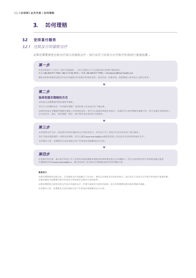# **3.2 安排直付服务**

# *3.2.1* 住院及日間留院治療

如果您需要接受住院治疗或日间留院治疗,我们会尽力安排与合作医疗机构进行直接结算。

# **第一步**

在您住院前5个工作日(或尽可能提前),您可以通过以下方式联系我们的客户服务团队: 电话 +86 400 077 7500 / +86 21 6156 0910 | 传真 +86 400 077 7900 | ChinaService@now-health.com 请告知您即将接受住院治疗或日间留院治疗的医疗机构的名称,电话号码,传真号码,医院联络人姓名及主治医生姓名。

# **第二步**

### **選擇您提交理賠的方式**

您的医生应需要填写预先授权申请表。

您可以從時康網站的"如何提交理賠"或您的網上安全組合區下載此表。

如果您的医生完整填写理赔申请表上所有相关选项,他们可以直接将其提交给我们,或者您可以使用理赔申请表中的一种方法提交或登录网上 安全组合区,通过"我的理赔"提交。我们将作适当安排并与您联系。

 $\overline{\mathcal{L}}$ 

 $\mathcal{L}_{\rm{max}}$ 

 $\overline{\mathcal{L}}$ 

# **第三步**

在您接受治疗当天,到达医疗机构后请您先出示您的会员卡,并告知工作人员我们已经为您安排了直付服务。 我们可能会请您填写一些附加的表格,您可以通过www.now-health.cn登录您的网上安全组合区找到所有相关文件。 在您离开之前,您需要支付您的保险合同下所有相关免赔额或自付比例。

# **第四步**

在您离开的时候,请让医疗机构工作人员将所有原始理赔申请表和账单邮寄给我们以申请赔付。您可以使用您的用户名和密码通过登录 时康国际的网站www.now-health.cn,通过您的网上安全组合区跟踪查询您所有的理赔记录。

### **重要提示:**

如果您需要接受住院治疗,日间留院治疗或者重大门诊治疗,请务必在接受治疗前告知我们。我们会尽力安排与合作医疗机构进行直接结算。 这意味著您可能需要向医疗机构支付押金甚至全额支付您的账单。

如果您需要再次接受住院治疗或日间留院治疗,尽管可能是因为相同的疾病,我们仍然需要您提交新的理赔申请表。

在您离开之前,您需要支付您的保险合同下所有相关免赔额或自付比例。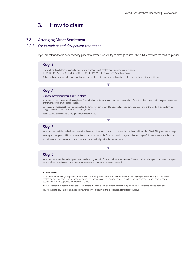# **3.2 Arranging Direct Settlement**

# *3.2.1 For in-patient and day-patient treatment*

If you are referred for in-patient or day-patient treatment, we will try to arrange to settle the bill directly with the medical provider.

### *Step 1*

Five working days before you are admitted (or whenever possible), contact our customer service team on T +86 400 077 7500 / +86 21 6156 0910 | F +86 400 077 7900 | ChinaService@now-health.com Tell us the hospital name, telephone number, fax number, the contact name at the hospital and the name of the medical practitioner.

# *Step 2*

#### **Choose how you would like to claim.**

 Your medical practitioner should complete a Pre-authorisation Request Form. You can download this form from the 'How to claim' page of the website or from the secure online portfolio area.

 Once your medical practitioner has completed the form, they can return it to us directly or you can do so using one of the methods on the form or using the secure online portfolio area in the My Claims page.

 $\overline{\mathcal{L}}$ 

 $\overline{\mathcal{L}}$ 

We will contact you once the arrangements have been made.

# *Step 3*

When you arrive at the medical provider on the day of your treatment, show your membership card and tell them that Direct Billing has been arranged. We may also ask you to fill in some extra forms. You can access all the forms you need from your online secure portfolio area at www.now-health.cn. You will need to pay any deductible on your plan to the medical provider before you leave.

v.

### *Step 4*

When you leave, ask the medical provider to send the original claim form and bill to us for payment. You can track all subsequent claims activity in your secure online portfolio area. Log in using your username and password at www.now-health.cn.

#### **Important notes:**

For in-patient treatment, day-patient treatment or major out-patient treatment, please contact us before you get treatment. If you don't make contact before your admission, we may not be able to arrange to pay the medical provider directly. This might mean that you have to pay a deposit to the medical provider or pay your bill in full.

If you need repeat in-patient or day-patient treatment, we need a new claim form for each stay, even if it's for the same medical condition.

You will need to pay any deductible or co-insurance on your policy to the medical provider before you leave.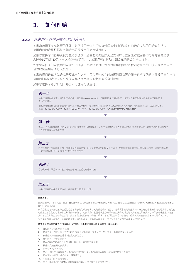# *3.2.2* 時康國際直付網絡內的門診治療

如果您选择了有免赔额的保障,则不适用于您在门诊直付网络中以门诊直付的治疗。您的门诊直付治疗 範圍內的治療是根據每次就診免賠額或自付比例進行的。

如果您选择了门诊每次就诊免赔额选项,您需要先向医疗人员支付符合直付治疗范围的门诊治疗的免赔额: 人民幣90元或150元(根據所選擇的選項)。如果您有此選項,則會在您的會員卡上說明。

如果您选择了门诊费用的自付比例选项,您必须通过门诊直付网络向符合直付治疗范围的门诊治疗费用支付 自付比例金額給醫療人員的。

如果选择门诊每次就诊免赔额或自付比例,那么无论您在时康国际网络医疗服务供应商网络内外接受直付治疗 范围的门诊治疗时,每个被保人都将适用相应的免赔额或自付比例。

如果您选择了尊安计划,那么不可使用门诊直付。

### **第一步**

如需查找可以提供直付服务的医疗机构,请登录www.now-health.cn下载国际医疗网络列表。您可以在我们的直付网络医院里找到适合 您的医疗机构。

如果您没有找到在您附近的可以提供直付的医疗机构,我们的客户服务团队可以帮助您解决此类问题。您可以通过以下方式进行联系: 電話 +86 400 077 7500 / +86 21 6156 0910 | 傳真 +86 400 077 7900 | ChinaService@now-health.com

# **第二步**

第二步 当您到达医疗机构时,请出示您的亚太财险与时康会员卡。同时请随身携带相关身份证件如护照和身份证等。医疗机构可能请您填写 并签署相关授权及免责声明。

 $\mathcal{L}$ 

# **第三步**

医疗机构在安排您就诊之前,会查询您的保障限额,门诊每次就诊免赔额及自付比例。如果您所就诊的疾病不在保障范围内,医疗机构仍然 会安排您就诊但是会请您自己支付相关治疗费用。

 $\mathcal{L}$ 

 $\overline{\phantom{a}}$ 

# **第四步**

当您离开时,医疗机构可能会请您签署确认接受治疗的确认函。

# **第五步**

如果您需要再次接受后续治疗,您需要再次完成以上步骤。

#### **重要提示:**

如果您选择了"自付比例"选项,自付比例不适用于时康国际医疗机构网络内的中国大陆公立医院接受的门诊治疗。网络外的其他公立医院将无法 提供門診直付服務。

如果您通过门诊直付服务接受的治疗不在您的门诊直付医疗网络保险保障范围内,您需要承担此部分费用并将已赔付的理赔款返还给我们。我们也 可能直接从您的应付理赔款上抵消此部分费用。否则我们可能暂时终止您的保障直至投保人或者您本人偿还这部分费用。如果发现理赔欺诈情况, 我们可以立即终止您的保险合同,并且不会退还已交付的保费。单次门诊直付的金额含门诊费用,药费及实验室费用上限为人民币10,000。

对于保障范围内的治疗,如果不符合直付服务的条件,请参照本手册第3.1项"对于你已支付医疗费用的理赔"处理。

#### 请注意以下治疗不能进行门诊直付 (以下部份为不能进行直付服务的范围, 仅供参考):

- 1 被保险人应承担的自付比例;
- 2. 替代疗法,包括由医生或专科医生推荐的饮食治疗,整脊治疗,整骨疗法,顺势疗法及针灸治疗;
- 3. 在保险凭证的责任免除中列出的相关治疗;<br>4. 牙科治疗:包括正畸治疗:
- 牙科治疗;包括正畸治疗;
- 5. 怀孕/分娩/产前与产后生育保障,除非由时康国际书面同意;
- 6. 投保前疾病及其相关疾病;
- 7. 出生伤害/先天性损伤;<br>8. 就诊日期不在保障期间
- 就诊日期不在保障期间内;和/或未支付到期保费,和/或保险人暂停、取消保单持有人的保单;
- 9. 所有预防性疫苗;例行检验、健康检查;
- 10. 中醫治療/阿育吠陀治療;
- 11. 电子计算机断层扫描(CT),磁共振成像(MRI),正电子放射断层扫描(PET)。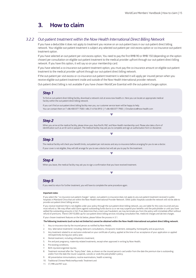# *3.2.2 Out-patient treatment within the Now Health International Direct Billing Network*

If you have a deductible it does not apply to treatment you receive on an out-patient basis in our out-patient direct billing network. Your eligible out-patient treatment is subject any selected out-patient per visit excess option or co-insurance out-patient treatment option.

If you have selected an out-patient per visit excess option, You need to pay the first RMB 90 or RMB 150 (depending on the option chosen) per consultation on eligible out-patient treatment to the medical provider upfront through our out-patient direct billing network. If you have this option, it will say so on your membership card.

If you have selected a co-insurance out-patient treatment option, you must pay the co-insurance amount on eligible out-patient treatment to the medical provider upfront through our out-patient direct billing network.

If the out-patient per visit excess or co-insurance out-patient treatment is selected it will apply per insured person when you receive eligible out-patient treatment inside and outside of the Now Health International provider network.

Out-patient direct billing is not available if you have chosen WorldCare Essential with the out-patient charges option.

### *Step 1*

To find an out-patient direct billing facility, download a network visit at www.now-health.cn. Here you can locate an appropriate medical facility within the out-patient direct billing network.

 If you can't find an out-patient direct billing facility near you, our customer service team will be happy to help. You can contact them on T +86 400 077 7500 / +86 21 6156 0910 | F +86 400 077 7900 | ChinaService@now-health.com

# *Step 2*

 When you arrive at the medical facility, please show your Asia-Pacific P&C and Now Health membership card. Please also take a form of identification such as an ID card or passport. The medical facility may ask you to complete and sign an authorisation form or disclaimer.

#### *Step 3*

The medical facility will check your benefit limits, out-patient per visit excess and any co-insurance before arranging for you to see a doctor. If your cover is not eligible, they will still arrange for you to see a doctor but will ask you to pay for the treatment.

v.

# *Step 4*

When you leave, the medical facility may ask you to sign a confirmation that you have received treatment.

### *Step 5*

If you need to return for further treatment, you will have to complete the same procedure again.

#### **Important notes:**

If you select the "co-insurance out-patient charges" option, out-patient co-insurance does not apply to any out-patient treatment received in public hospitals in Mainland China that are within the Now Health International Provider Network. Other public hospitals outside the network will not be able to provide out-patient direct billing service.

 $\overline{\mathcal{L}}$ 

If you receive treatment that is not eligible under your policy through the out-patient direct billing network, you are liable for the costs incurred and you must refund us. We may offset valid claims against outstanding funds due to us or we may suspend your benefits until the policyholder or until you have settled the outstanding amounts in full. If we determine that a claim was fraudulent, we may terminate you from the policy with immediate effect without refund of premiums. There's CNY10,000 cap for out-patient direct billing services including consultation fee, medicine charges and lab test charges. If your chosen treatment features on the list below, please follow the process in 3.1.

**The following treatments (such as but not limited to) cannot be obtained within the Now Health International out-patient direct billing network.**

- 1. Any co-insurance due by the insured person as notified by Now Health;
- 2. Any 'alternative treatments' including: dietician's consultations, chiropractic treatment, osteopathy, homeopathy and acupuncture;
- 3. Any treatment related to an exclusion endorsed on your certificate of policy, applied at the time of our acceptance of your application or applied retrospectively during your policy year;
- 4. Dental treatment, including orthodontics treatment;
- 5. Pre and post pregnancy, maternity-related treatments, except when approved in writing by Now Health;
- 6. Pre-existing conditions;
- 7. Birth injuries/congenital injuries;
- 8. Treatment received after the "Expiry Date" date, as shown on the insured person's card and/or from the date the premium due is outstanding and/or from the date the insurer suspends, cancels or voids the policyholder's policy;
- 9. All preventative immunisations; routine examinations, health screening;
- 10. Traditional Chinese Medicine/Ayurvedic Treatment and
- 11. CT, MRI and PET scan.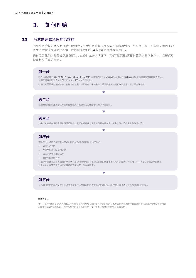# **3.3 當您需要緊急醫療治療時**

如果您因为紧急状况而接受住院治疗,或者您因为紧急状况需要被转运到另一个医疗机构,那么您,您的主治 医生或者就诊医院必须在第一时间联系我们的24小时紧急援助服务团队。

通过联系我们的紧急援助服务团队,在条件允许的情况下,我们可以帮助直接结算您的医疗账单,并且确保尽 快審核您的理賠申請。

# **第一步**

您可以通過致電 +86 400 077 7600 / +86 21 6156 0914 或者發送郵件至ChinaService@now-health.com聯繫我們的緊急援助服務團隊。 我们将竭诚为您提供全天24小时,全年365天无休的服务。

 $\overline{\mathcal{L}}$ 

 $\overline{\mathcal{L}}$ 

 $\sim$ 

他们可能需要核查相关信息,包括您的姓名,会员号码,医院名称,医院联络人姓名和联系方式,主治医生姓名等。

# **第二步**

我们的紧急援助服务团队将会核查您的疾病是否在您的保险合同的保障范围内。

# **第三步**

如果您的疾病在保险合同的保障范围内,我们的紧急援助服务人员将会审核您的紧急入院申请或者紧急转运申请。

# **第四步**

如果我们的紧急援助服务人员认定您的紧急状况符合以下几种情况:

- ‧ 面臨生命危險
- ‧ 在您的保險保障範圍之內
- 当地无法提供相关治疗
- ‧ 需要立即住院治療

他们将会采取各种必要措施用空中或地面转移的方式帮助您转运到最近的能够提供相关治疗的医疗机构,同时会确保安排您在目的地 所發生的在保障範圍內的醫療費用的直接結算,例如住院費。

# **第五步**

在您的治疗结束以后,我们的紧急援助工作人员会在您的健康情况允许的情况下帮助安排交通帮您返回合适的目的地。

#### **重要提示:**

我们只赔付由我们的紧急援助服务团队预先书面同意及安排的医疗转运的费用。 如果医疗转运的费用直接或间接与您的保险凭证中所列的 责任免除或者与您的保险合同中所列明的责任免除相关,我们将不会赔付此次医疗转运的费用。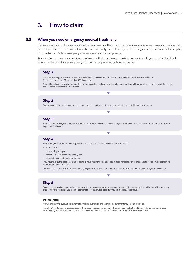# **3.3 When you need emergency medical treatment**

If a hospital admits you for emergency medical treatment or if the hospital that is treating your emergency medical condition tells you that you need to be evacuated to another medical facility for treatment, you, the treating medical practitioner or the hospital, must contact our 24 hour emergency assistance service as soon as possible.

By contacting our emergency assistance service you will give us the opportunity to arrange to settle your hospital bills directly where possible. It will also ensure that your claim can be processed without any delays.

### *Step 1*

Contact our emergency assistance service on +86 400 077 7600 / +86 21 6156 0914 or email ChinaService@now-health.com. This service is available 24 hours a day, 365 days a year.

 They will need your name and membership number as well as the hospital name, telephone number and fax number, a contact name at the hospital and the name of the medical practitioner.

# *Step 2*

Our emergency assistance service will verify whether the medical condition you are claiming for is eligible under your policy.

# *Step 3*

 If your claim is eligible, our emergency assistance service staff will consider your emergency admission or your request for evacuation in relation to your medical needs.

 $\mathcal{L}$ 

**College** 

# *Step 4*

If our emergency assistance service agrees that your medical condition meets all of the following:

- is life-threatening
- is covered by your policy
- cannot be treated adequately locally, and
- requires immediate in-patient treatment

They will make all the necessary arrangements to have you moved by air and/or surface transportation to the nearest hospital where appropriate medical treatment is available.

Our assistance service will also ensure that any eligible costs at the destination, such as admission costs, are settled directly with the hospital.

# *Step 5*

Once you have received your medical treatment, if our emergency assistance service agrees that it is necessary, they will make all the necessary arrangements to repatriate you to your appropriate destination, provided that you are medically fit to travel.

#### **Important notes:**

We will only pay for evacuation costs that have been authorised and arranged by our emergency assistance service.

We will not pay for your evacuation costs if the evacuation is directly or indirectly related to a medical condition which has been specifically excluded on your certificate of insurance, or to any other medical condition or event specifically excluded in your policy.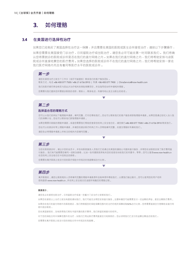# **3.4 在美國進行選擇性治療**

如果您已经购买了美国选择性治疗这一保障,并且需要在美国的医院或医生诊所接受治疗,请按以下步骤操作:

如果您需要在美国接受门诊治疗,日间留院治疗或住院治疗,请您务必尽可能在第一时间联系我们。 我们将确 认您将要就沴的医院或沴所是否在我们的直付网络之内。如果在我们的直付网络之内,我们将帮助安排与该医 院或诊所直接结算您的医疗费用。如果您选择的医院或诊所不在我们的直付网络之内,我们将帮助安排一家在 我们医疗网络内而且有着同等医疗水平的医院或诊所。

# **第一步**

请您在接受治疗之前五个工作日(或尽可能提前)联系我们的客户服务团队。 联系方式: 电话 +86 400 077 7500 / +86 21 6156 0910 | 传真 +86 400 077 7900 | ChinaService@now-health.com 我们的医疗顾问将会核实与您此次治疗相关的保险保障项目,并且指导您如何申请相关理赔。 您需要向我们提供您所要就诊医院的名称,联系人,联系电话,传真号码以及主治医生的姓名。

# **第二步**

#### **選擇適合您的理賠方式**

您可以从我们的网站下载理赔申请表,填写完整,打印后寄给我们。您也可以联系我们的客户服务部获取理赔申请表。如果您是通过经纪人加入我 們的保障計劃,您也可以聯繫他們獲取理賠申請表。

 $\mathcal{L}$ 

如果您需要印刷版的理赔申请表,或者您需要我们帮助您登录您的网上安全组合区,请您拨打+86 400 077 7500 / +86 21 6156 0910 联系我们。

 $\mathcal{L}$ 

您也可以在就诊时带上理赔申请表,并请您的就诊医疗机构工作人员帮助填写完整,在提交理赔时传真给我们。

请您务必将理赔申请表上所标注的相关内容填写完整。

# **第三步**

当您在医院就诊时,请出示您的会员卡,并告知医院服务人员我们已经通过在美国的援助公司提供直付服务,并帮您在该医院安排了医疗费用直 付服务。我们有可能需要您填写一些附加表格,比如一张同意医院将有关您的信息告知给我们的同意书,等等。您可以登录www.now-health.cn 在您的網上安全組合區中找到這些表格。

 $\overline{\phantom{a}}$ 

您需要在离开医院之前支付您的医疗保险中所规定的免赔额或自付比例。

# **第四步**

离开医院时,请您让医院相关人员将填写完整的理赔申请表原件及账单原件寄给我们,以便我们做出赔付。您可以使用您的用户名和 密码登录 www.now-health.cn, 并在网上安全组合区追踪所有随后的理赔过程。

#### **重要提示:**

請您務必在接受住院治療,日間留院治療或者一些重大門診治療之前聯繫我們。

如果您在接受以上治疗之前没有提前通知我们,我们可能无法帮您安排直付服务。这意味著您可能需要支付一定金额的押金,甚至全额医疗费用。 如果您在我们的直付网络外的医院就诊,我们将根据您的保险保障范围内的治疗的相关保障收取50%自付比例,您将需要直接支付差额给该直付网 絡外就診醫院。

您在美国接受的、没有获得我们预先书面同意的医疗费用,我们保留拒绝赔付的权利。

对于您的保险合同中保障范围外的治疗,如我们已将此医疗费用直接支付给医院的,您必须将我们已支付的金额全额返还给我们。 您需要在离开医院之前支付您的保险合同中所规定的免赔额。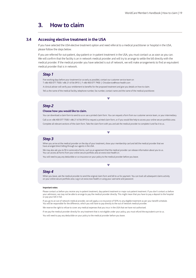# **3.4 Accessing elective treatment in the USA**

If you have selected the USA elective treatment option and need referral to a medical practitioner or hospital in the USA, please follow the steps below.

If you are referred for out-patient, day-patient or in-patient treatment in the USA, you must contact us as soon as you can. We will confirm that the facility is an in network medical provider and will try to arrange to settle the bill directly with the medical provider. If the medical provider you have selected is out of network, we will make arrangements to find an equivalent medical provider that is in network.

#### *Step 1*

Five working days before your treatment (or as early as possible), contact our customer service team on T +86 400 077 7500 / +86 21 6156 0910 | F +86 400 077 7900 | ChinaService@now-health.com A clinical adviser will verify your entitlement to benefits for the proposed treatment and give you details on how to claim.

Tell us the name of the medical facility, telephone number, fax number, contact name and the name of the medical practitioner.

# *Step 2*

#### **Choose how you would like to claim.**

 You can download a claim form to send to us or use a printed claim form. You can request a form from our customer service team, or your intermediary. Call us on +86 400 077 7500 / +86 21 6156 0910 to request a printed claim form, or if you would like help to access your online secure portfolio area. Complete all relevant sections of the claim form. Take the claim form with you and ask the medical provider to complete it and fax it to us.

 $\mathcal{L}_{\mathcal{A}}$ 

 $\mathcal{L}_{\mathcal{A}}$ 

### *Step 3*

 When you arrive at the medical provider on the day of your treatment, show your membership card and tell the medical provider that we have arranged direct billing through our agents in the USA.

 We may also ask you to fill in some extra forms, such as an agreement that the medical provider can release information about you to us. You can access all forms from your online secure portfolio area at www.now-health.cn.

You will need to pay any deductible or co-insurance on your policy to the medical provider before you leave.

# *Step 4*

When you leave, ask the medical provider to send the original claim form and bill to us for payment. You can track all subsequent claims activity on your online secure portfolio area. Log in at www.now-health.cn using your username and password.

 $\mathcal{L}$ 

#### **Important notes:**

Please contact us before you receive any in-patient treatment, day-patient treatment or major out-patient treatment. If you don't contact us before your admission, we may not be able to arrange to pay the medical provider directly. This might mean that you have to pay a deposit to the hospital or pay your bill in full.

If you go to an out of network medical provider, we will apply a co-insurance of 50% to any eligible treatment as per your benefit schedule. You will be responsible for the difference, which you will have to pay directly to the out of network medical provider

We reserve the right to refuse to cover any medical expenses that you incur in the USA that we have not authorised.

If we pay the medical provider directly for any treatment that is not eligible under your policy, you must refund the equivalent sum to us.

You will need to pay any deductible on your policy to the medical provider before you leave.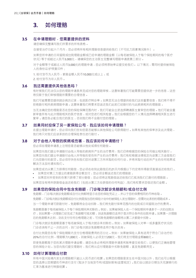# **3.5 在申請理賠時,您需要提供的資料**

請您確保完整填寫我們所要求的所有表格。

自接受治疗日起六个月内,您必须将所有相关理赔信息提供给我们(不可抗力因素情况除外)。

如果您所申请的日间留院或住院理赔金额或已经申请的理赔金额(以每名被保险人于每个保险期间的每个医疗 状况)等于或超过人民币3,000元,请确保您的主治医生完整填写理赔申请表第三部分。

对于金额等于或超过人民币3,000元的理赔申请,您必须将原始单证提交给我们。 以下情况,需同时提供被保险 人的身份证/护照复印件:

1. 给付货币为人民币,索赔金额人民币10,000元或以上;或

2. 給付貨幣為非人民幣。

# **3.6 我還需要提供其他信息嗎?**

有时候我们不法仅从您的理赔申求的理赔审核,这意味著我们可能需要您提供进一步的信息,这些 将仅限于我们审核理赔所需要的合理信息。

我们可能需要您提供就诊病历记录,包括医疗转诊单。如果您无法合理提供给我们这些重要信息,我们将不得不 拒绝赔付相关疾病理赔申请。这意味著我们将要求您返还我们此前已经赔付的与此疾病相关的理赔款。

当无法确定您的理赔是否在您的保险保障范围内时,我们可能会出资选择聘请医生复审您的理赔。他们可能会重 新审查所有与此次理赔相关的医疗信息,或对您进行相关检查。我们会根据您的个人情况选择聘请相关医生进行 复审。请您务必配合我们的医生,否则我们将不会赔付您的理赔。

### 3.7 **如果同时投保了另一家保险公司,我应该如何**由请理赔?

在提出理賠申請時,您必須向我們告知您是否能夠從其他保險公司獲得賠付。如果有其他的保單涉及此次理賠, 我們將只對我們應該承擔的合理保險責任進行賠付。

# 3.8 对于由他人导致的疾病或伤害,我应该如何申请赔付?

您必须在理赔申请表上注明您是否能够从他处或得任何赔偿。

如果您向我们提出申请赔付由他人导致的疾病所产生的治疗费用,我们仍将根据您的保险合同做出相关赔付。 如果您向我们提出申请赔付由他人所导致的受伤所产生的治疗费用,我们有权根据法律规定向该第三方追偿我们 已向您赔付的款项。您必须尽快告知我们您对该第三方所采取的任何行动,并将采取行动后所产生的任何结果或 解決方法及時通知我們。

如果您成功从第三方获得任何赔偿,您必须在收到此赔偿后的21天内根据以下约定将所得款项直接返还给我们。

• 如果您对第三方提出的索赔获得全额支付,您必须全额返还我们的理赔款;

如果您对所受到的伤害只获得了部分赔偿,您必须将这笔赔偿返还给我们已抵消我们已赔付的理赔款。

如果您没有将所获赔偿金返还给我们(包括从第三方处获偿的任何利益),我们有权要求您偿还我们金额。

# **3.9 如果您的保險合同中包含免賠額,門診每次就診免賠額和/或自付比例**

免赔额,门诊每次就诊免赔额或自付比例都将显示在您的保险凭证上,并以于您的保费相同的币种收取。 免赔额,门诊每次就诊免赔额或自付比例是指当您的保险计划中的被保险人发生理赔时,您需对此承担的理赔成本。 当一个理赔申请可获赔付时,免赔额将会自动扣除,我们将先赔付保单范围内的住院或日间留院治疗的费用。 免赔额是基于每名被保险人干每个保险期间来扣除的。例如,如果被保险人在一个保险期间申请多干一次的住院治 疗,则如果第一次理赔已经完成了免赔额可抵扣额,则该免赔额仅适用于首次符合条件的住院申请。如果第一次理赔 後的免賠額未達到,則在支付任何合格理賠之前,可扣除免賠額的餘額將從第二次索賠中扣除。

门诊每次就诊免赔额是基于每次保险人干每次就诊来扣除的。例如,如果被保险人对单一或多重医疗状况的 门诊咨询有不止一次的访问,则门诊每次就诊免赔额将适用于每次咨询。

自付比例是您在每个保险期限内支付合格理赔费用的百分比。例如,如果被保险人具有适用于符合门诊治疗的 20%的自付比例,理赔额为1,000元,则被保险人必须支付200元,我们将支付理赔金额800元。

即使免赔额高于您的某次理赔申请您也务必将相关理赔申请表和账单提交给我们,以便我们正确地管理 您的保险计划。当您向我们提交理赔时,我们将从应付理赔款中扣除免赔额,直至免赔额用完。

### **3.10 如何計算理賠應付款**

所有中国大陆境内发生的理赔都只能以人民币进行结算。如果您的理赔是发生在中国大陆以外,我们也可以根据 您的选择以您期望的币种进行支付(取决于当地货币和/或国际限制/监管规定)。我们会以就诊日期当天花旗银行的 匯率為基準進行轉換結算。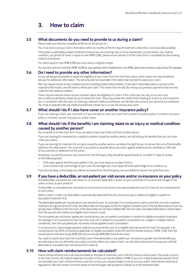# **3.5 What documents do you need to provide to us during a claim?**

Please make sure that you complete all the forms we ask you to.

 You must send us all your claim information within six months of the first day of treatment (unless this is not reasonably possible). If the total in-patient/day-patient treatment amount you are claiming now or have claimed (per insured person, per medical condition, per period of cover) is equal or over RMB 3,000, please ensure Section 3 of the claim form is completed by the treating medical practitioner.

For claims equal or over RMB 3,000 you must send us original receipts.

For any claim amount more than RMB 10,000 or any overseas claims (settlement in non RMB), please also enclose a copy of your ID / passport.

# **3.6 Do I need to provide any other information?**

It may not always be possible to assess the eligibility of your claim from the claim form alone, which means we may sometimes ask you for additional information. This will only ever be reasonable information that we need to assess your claim.

We may request access to your medical records including medical referral letters. If you don't reasonably allow us access to this important information, we will have to refuse your claim. This means that we will also recoup any previous payments that we have made for that medical condition.

There may be instances where we are uncertain about the eligibility of a claim. If this is the case, we may, at our own cost, ask a medical practitioner chosen by us to review the claim. They may review the medical facts relating to a claim or ask to examine you in connection with the claim. In choosing a relevant medical practitioner, we will take into account your personal circumstances. You must co-operate with any medical practitioner chosen by us or we will not pay your claim.

### **3.7 What should I do if I also have cover on another insurance policy?**

If you are making a claim, you must tell us if you are able to claim any costs from another insurance policy. If another insurance policy is involved, we will only pay our proper share.

# **3.8 What should I do if the benefits I am claiming relate to an injury or medical condition caused by another person?**

You must tell us on the claim form if you are able to claim any of the cost from another person.

If you are claiming for treatment for a medical condition caused by another person, we will still pay for benefits that you can claim under your policy.

If you are claiming for treatment for an injury caused by another person, we obtain the right by law, to recover the sum of the benefits paid from the other person. You must tell us as quickly as possible about any action against another person and keep us informed of any outcome or settlement of this action.

Should you successfully recover any monies from the third party, they should be repaid directly to us within 21 days of receipt on the following basis:

• if the claim against the third party settles in full, you must repay our outlay in full; or

• if you recover only a percentage of your claim for damages you must repay the same percentage of our outlay to us.

If you do not repay us (including any interest recovered from the third party), we are entitled to recover the same from you.

# **3.9 If you have a deductible, an out-patient per visit excess and/or co-insurance on your policy**

Any deductible, out-patient per visit excess or co-insurance applicable is shown on your certificate of insurance and charged in the same currency as your premium.

A deductible, an out-patient per visit excess or co-insurance is the amount you pay towards the cost of a claim for any insured person on your policy.

When a claim is made, any deductible is automatically deducted from the amount we pay in relation to eligible in-patient or day-patient treatment first.

The deductible applies per insured person, per period of cover. For example, if an insured person claims more than once for in-patient treatment during one period of cover, the deductible will only apply to the first eligible in-patient claim if the full deductible amount has already been fulfilled on the first claim. If the deductible has not been fulfilled after the first claim, the deductible balance will be taken from the second claim before any eligible claim amount is paid.

The out-patient per visit excess applies per insured person, per out-patient consultation in relation to eligible out-patient treatment. For example, if an insured person has more than one visit in relation to out-patient consultations for a single or multiple medical condition(s), then the out-patient per visit excess will be applied to each consultation.

A co-insurance is a percentage payment made by you towards the cost of an eligible claim per period of cover. For example, if an insured person has 20% co-insurance applicable on eligible out-patient treatment and the claimed amount is RMB 1,000, then the insured person will have to pay RMB 200 and we will pay RMB 800 towards this claim.

You need to submit your claim form and bills, even if the deductible or out-patient per visit excess is greater than the benefits you are claiming so we can administer your policy correctly. When you make a claim, we will reduce the amount we pay you until the deductible or out-patient per visit excess limit is used up.

# **3.10 How will claim reimbursements be calculated?**

Claims reimbursements will in all cases be based on the date of treatment, and in the first instance will be paid in the same currency as the claim invoice. All medical expenses incurred in China can only be settled in RMB. If you incur medical expenses outside China, we will settle your claim reimbursement as per the currency you request (subject to local currency and/or international restrictions/ regulations). We will convert currencies based on the exchange rates quoted by Citibank as of the treatment date.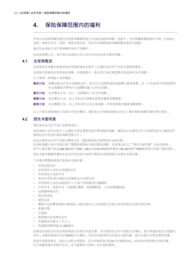# **4. 保險保障範圍內的福利**

所有在全球保保障范围内保险保障都将显示在保险条款和保障一览表中。所列保障限额都是针对每一位被保人 或每一种医疗状况,或每一保险年度而言,但对终末期疾病的保障限额则是终生限额。

請記住此保險計劃不是保障所有的不測事件。

在收到保费之后,我们将对此保险合同计划中所约定的条件提供保障。

# **4.1 全球保概述**

全球保旨在保障對疾病或受傷採取積極的且醫療上必需的治療所產生的合理慣常費用。

全球保为您提供全球各地的保障,但美国除外,除非您已购买美国境内的选择性治疗保障。

以下是每一種保險計劃的概述:

- **尊安计划** 保障住院治疗和日间留院治疗,您也可以选择较高的免赔额以降低保费。这一计划适用于您想获得仅 针对高额医疗费用/不太频繁的重大治疗的保障 。
- **尊乐计划** 包含尊安计划,加上一定限额的门诊治疗保障。
- **尊爱计划** 包含尊乐计划,加上牙科治疗保障及更高的最高保障限额。
- **尊享计划** 包含尊爱计划, 加上牙科治疗以及生育保障, 并享有更高的最高保障限额。

以上只是全球保保险计划部分内容的概述。请您务必仔细阅读保险合同以了解详细的保障范围和责任免除。

# **4.2 預先書面同意**

請您務必在治療開始之前聯繫我們。

您的保险计划仅对医疗上的需要的合理及情常的医疗费用提供保障。请您务必在接受治疗之前联系我们以确保您所 接受的治療在您的保險保障範圍之內。

因此在接受治疗并产生医疗费用之前,请您联系我们取得预先书面同意。

在保险保障计划中详细注明了需要取得预先书面同意的保障,在其旁边标注了"预先书面同意"及电话图标。 您可以通過撥打電話+86 400 077 7500 / +86 21 6156 0910或傳真至+86 400 077 7900聯繫我們的客戶服務團隊。 预先书面同意意味著有关该治疗项目的所有医疗费用必须获得我们的预先书面同意。

下列情況需要取得我們的預先書面同意:

- 所有住院治療
- 所有預先計劃的日間留院治療
- 所有預先計劃的手術
- 有关怀孕和/或分娩的日间留院治疗/住院治疗
- 所有預先計劃的診斷程序 正電子放射斷層掃描(PET)
- 化学疗法,放射疗法,内窥镜(胃镜、结肠镜检查、乙状结肠镜检查)
- 住院精神病治療
- 轉運和送返
- 溃体运送
- 尊爱计划及尊享保险中被保险人接受10次以上的物理治疗(医生或专科医生的医疗转诊单)
- 家庭护理
- 艾滋病
- 美國境內的選擇性治療
- 药物服用为期3个月以上
- 药物服用费用超过1,000美元

如果您在接受治疗前没有取得我们的预先书面同意,而所接受的治疗不是医疗必需的,我们保留拒绝支付理赔的 权利。如果所接受的治疗确属医疗必需的,但您没有取得我们的预先书面同意,我们只赔付合理及惯常收费。

若有任何紧急情况,感的主诊医生或医院,应尽快联系我们的24小时援助热线。如未及时获得预先书面同意, 对于保障范围内的医疗状况,您可能要自行承担一定比例的费用。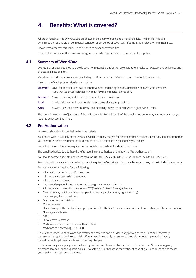# **4. Benefits: What is covered?**

 All the benefits covered by WorldCare are shown in the policy wording and benefit schedule. The benefit limits are per insured person and either per medical condition or per period of cover, with lifetime limits in place for terminal illness.

Please remember that this policy is not intended to cover all eventualities.

In return for payment of the premium, we agree to provide cover as set out in the terms of this policy.

# **4.1 Summary of WorldCare**

 WorldCare has been designed to provide cover for reasonable and customary charges for medically necessary and active treatment of disease, illness or injury.

WorldCare provides worldwide cover, excluding the USA, unless the USA elective treatment option is selected.

A summary of each policy option is shown below:

 **Essential** Cover for in-patient and day-patient treatment, and the option for a deductible to lower your premiums, if you want to cover high cost/low frequency major medical events only.

**Advance** As with Essential, and limited cover for out-patient treatment.

**Excel** As with Advance, and cover for dental and generally higher plan limits.

Apex As with Excel, and cover for dental and maternity, as well as benefits with higher overall limits.

The above is a summary of just some of the policy benefits. For full details of the benefits and exclusions, it is important that you read the policy wording in full.

# **4.2 Pre-Authorisation**

When you should contact us before treatment starts.

Your policy with us will only cover reasonable and customary charges for treatment that is medically necessary. It is important that you contact us before treatment for us to confirm if such treatment is eligible under your policy.

Pre-authorisation is therefore required before undertaking treatment and incurring charges.

The benefit schedule details those benefits requiring pre-authorisation by showing "Pre-Authorisation".

You should contact our customer service team on +86 400 077 7500 / +86 21 6156 0910 or Fax +86 400 077 7900.

Pre-authorisation means all costs under this benefit require Pre-Authorisation from us, which may or may not be included in your policy.

Pre-authorisation is required for the following:

- All in-patient admissions and/or treatment
- All pre-planned day-patient treatment
- All pre-planned surgery
- In-patient/day-patient treatment related to pregnancy and/or maternity
- All pre-planned diagnostic procedures PET (Positron Emission Tomography) scan
- Chemotherapy, radiotherapy, endoscopies (gastroscopy, colonoscopy, sigmoidoscopy)
- In-patient psychiatric treatment
- Evacuation and repatriation
- Mortal remains
- Physiotherapy for the Excel and Apex policy options after the first 10 sessions (referral letter from medical practitioner or specialist)
- Nursing care at home
- AIDS
- USA elective treatment
- Medicines for more than three months duration
- Medicines cost exceeding USD 1,000

 If pre-authorisation is not obtained and treatment is received and is subsequently proven not to be medically necessary, we reserve the right to decline your claim. If treatment is medically necessary, but you did not obtain pre-authorisation, we will pay only up to reasonable and customary charges.

 In the case of any emergency, you, the treating medical practitioner or the hospital, must contact our 24 hour emergency assistance service as soon as possible. Failure to obtain pre-authorisation for treatment of an eligible medical condition means you may incur a proportion of the costs.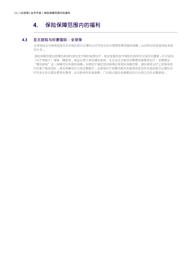# **4. 保險保障範圍內的福利**

# **4.3 亞太財險與時康國際:全球保**

全球保旨在对疾病或受伤所采取的医疗必需的治疗而发生的合理惯常费用提供保障。此处附加信息是保险条款 的補充。

保险保障范围包括慢性疾病的急性发作期的短期治疗,直至恢复到发作期前的身体状况或完全康复。针对诸如 (但不局限于)哮喘,糖尿病,高血压等之类的慢性疾病,无法完全治愈但却需要持续维持治疗,则需要由 "慢性疾病"这一保障项目来提供保障。如果您不确定您的病情及其相关保障范围,请在接受治疗之前联系我 们的客户服务团队。某些保障项目注明全额赔付,这是指对于保障范围内的疾病或受伤所采取的医疗必需的治 疗而发生的合理及惯常的费用,在扣除相关的免赔额,门诊每次就诊免赔额或自付比例之后的全额赔偿。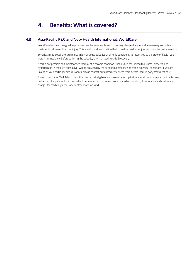# **4. Benefits: What is covered?**

# **4.3 Asia-Pacific P&C and Now Health International: WorldCare**

 WorldCare has been designed to provide cover for reasonable and customary charges for medically necessary and active treatment of disease, illness or injury. This is additional information that should be read in conjunction with the policy wording.

 Benefits aim to cover short term treatment of acute episodes of chronic conditions, to return you to the state of health you were in immediately before suffering the episode, or which leads to a full recovery.

 If this is not possible and maintenance therapy of a chronic condition, such as but not limited to asthma, diabetes, and hypertension, is required, such cover will be provided by the benefit maintenance of chronic medical conditions. If you are unsure of your particular circumstances, please contact our customer services team before incurring any treatment costs.

 Some cover states "Full Refund" and this means that eligible claims are covered up to the annual maximum plan limit, after any deduction of any deductible , out-patient per visit excess or co-insurance or similar condition, if reasonable and customary charges for medically necessary treatment are incurred.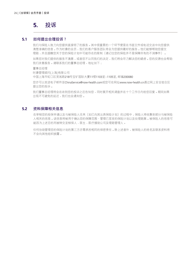# **5. 投訴**

# **5.1 如何提出合理投訴?**

我们与保险人致力向您提供直接明了的服务。其中很重要的一个环节便是在书面文件或电话交谈中向您提供 清楚准确的信息。作为时康的会员,我们的客户服务团队将会为您提供最好的服务。他们能够帮助您提交 理赔,并且提醒您关于您的保险计划中可能存在的限制(请记住您的保险并不是保障所有的不测事件)。

如果您对我们提供的服务不满意,或者您不认同我们的决定,我们将会尽力解决您的疑虑。您的反馈也会帮助 我们改善服务。请联系我们的董事总经理,地址如下:

董事總經理

時康管理顧問(上海)有限公司

中国上海市虹口区吴淞路218号宝矿国际大厦11楼1103室-1105室, 邮编200080

您亦可以發送電子郵件至ChinaService@now-health.com或您可在網址www.now-health.cn通過網上安全組合區 提出您的投訴。

我们董事总经理将会在收到您的投诉之后告知您,同时展开相关调查并在十个工作日内给您回复。期间如果 出現不可避免的延遲,我們也會通知您。

# 5.2 资料保障相关信息

在审核您的投保申请以及与被保险人往来(如已向其出具保险计划)的过程中,保险人将收集到部分与被保险 人相关的信息。该信息将被用于确认您的保障范围、管理已签发的保险计划以及处理赔案。被保险人的信息可 能因為上述目的而被轉交至核保人、醫生、醫療援助公司及理賠管理人。

任何协助管理您的保险计划的第三方亦需承担相同的保密责任。除上述者外,被保险人的姓名及联系资料将 不会向其他组织披露。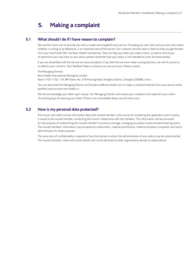# **5. Making a complaint**

# **5.1 What should I do if I have reason to complain?**

 We and the insurer aim to provide you with a simple and straightforward service. Providing you with clear and accurate information, whether in writing or by telephone, is an important part of this service. Our customer services team is there to help you get the best from your Asia-Pacific P&C and Now Health membership. They can help you when you make a claim, as well as remind you of restrictions you may have on your policy (please remember that your policy is not intended to cover all eventualities).

 If you are dissatisfied with the service we have provided or if you feel that we have made a wrong decision, we will of course try to address your concerns. Your feedback helps us improve our service to you. Please contact:

The Managing Director

Now Health International (Shanghai) Limited

Room 1103–1105, 11/F, BM Tower, No. 218 Wusong Road, Hongkou District, Shanghai 200080, China

 You can also email the Managing Director at ChinaService@now-health.com or make a complaint directly from your secure online portfolio area at www.now health.cn.

 We will acknowledge your letter upon receipt. Our Managing Director will review your complaint and respond to you within 10 working days of receiving your letter. If there is an unavoidable delay, we will inform you.

# **5.2 How is my personal data protected?**

 The insurer will collect certain information about the insured member in the course of considering the application and if a policy is issued to the insured member, conducting the insurer's relationship with the members. This information will be processed for the purposes of underwriting the insured member's insurance coverage, managing any policy issued and administering claims. The insured members' information may be passed to underwriters, medical practitioners, medical assistance companies and claims administrators for these purposes.

 The same duty of confidentiality is required of any third parties to whom the administration of your policy may be subcontracted. The insured members' name and contact details will not be disclosed to other organisations (except as stated above).